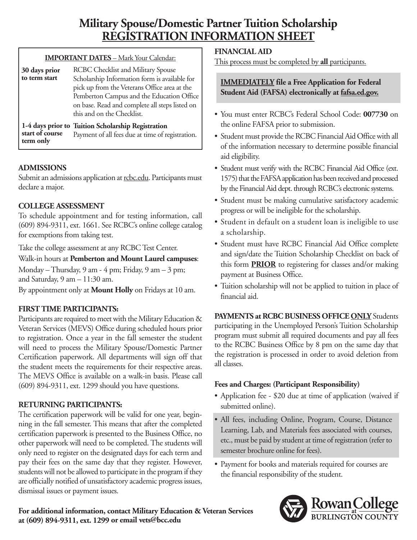# **Military Spouse/Domestic Partner Tuition Scholarship REGISTRATION INFORMATION SHEET**

### **IMPORTANT DATES** – Mark Your Calendar:

| 30 days prior<br>to term start | RCBC Checklist and Military Spouse<br>Scholarship Information form is available for<br>pick up from the Veterans Office area at the<br>Pemberton Campus and the Education Office<br>on base. Read and complete all steps listed on<br>this and on the Checklist. |
|--------------------------------|------------------------------------------------------------------------------------------------------------------------------------------------------------------------------------------------------------------------------------------------------------------|
| start of course                | 1-4 days prior to Tuition Scholarship Registration                                                                                                                                                                                                               |
| term only                      | Payment of all fees due at time of registration.                                                                                                                                                                                                                 |

## **ADMISSIONS**

Submit an admissions application at rcbc.edu. Participants must declare a major.

# **COLLEGE ASSESSMENT**

To schedule appointment and for testing information, call (609) 894-9311, ext. 1661. See RCBC's online college catalog for exemptions from taking test.

Take the college assessment at any RCBC Test Center.

Walk-in hours at **Pemberton and Mount Laurel campuses**:

Monday –Thursday, 9 am - 4 pm; Friday, 9 am – 3 pm; and Saturday, 9 am – 11:30 am.

By appointment only at **Mount Holly** on Fridays at 10 am.

# **FIRST TIME PARTICIPANTS:**

Participants are required to meet with the Military Education & Veteran Services (MEVS) Office during scheduled hours prior to registration. Once a year in the fall semester the student will need to process the Military Spouse/Domestic Partner Certification paperwork. All departments will sign off that the student meets the requirements for their respective areas. The MEVS Office is available on a walk-in basis. Please call (609) 894-9311, ext. 1299 should you have questions.

# **RETURNING PARTICIPANTS:**

The certification paperwork will be valid for one year, beginning in the fall semester. This means that after the completed certification paperwork is presented to the Business Office, no other paperwork will need to be completed. The students will only need to register on the designated days for each term and pay their fees on the same day that they register. However, students will not be allowed to participate in the program if they are officially notified of unsatisfactory academic progress issues, dismissal issues or payment issues.

## **FINANCIAL AID**

This process must be completed by **all** participants.

## **IMMEDIATELY file a Free Application for Federal Student Aid (FAFSA) electronically at fafsa.ed.gov.**

- You must enter RCBC's Federal School Code: **007730** on the online FAFSA prior to submission.
- Student must provide the RCBC Financial Aid Office with all of the information necessary to determine possible financial aid eligibility.
- Student must verify with the RCBC Financial Aid Office (ext. 1575) that the FAFSA application has been received and processed by the Financial Aid dept. through RCBC's electronic systems.
- Student must be making cumulative satisfactory academic progress or will be ineligible for the scholarship.
- Student in default on a student loan is ineligible to use a scholarship.
- Student must have RCBC Financial Aid Office complete and sign/date the Tuition Scholarship Checklist on back of this form **PRIOR** to registering for classes and/or making payment at Business Office.
- Tuition scholarship will not be applied to tuition in place of financial aid.

# **PAYMENTS** at RCBC BUSINESS OFFICE ONLY Students

participating in the Unemployed Person's Tuition Scholarship program must submit all required documents and pay all fees to the RCBC Business Office by 8 pm on the same day that the registration is processed in order to avoid deletion from all classes.

### **Fees and Charges: (Participant Responsibility)**

- Application fee \$20 due at time of application (waived if submitted online).
- All fees, including Online, Program, Course, Distance Learning, Lab, and Materials fees associated with courses, etc., must be paid by student at time of registration (refer to semester brochure online for fees).
- Payment for books and materials required for courses are the financial responsibility of the student.



**For additional information, contact Military Education & Veteran Services at (609) 894-9311, ext. 1299 or email vets@bcc.edu**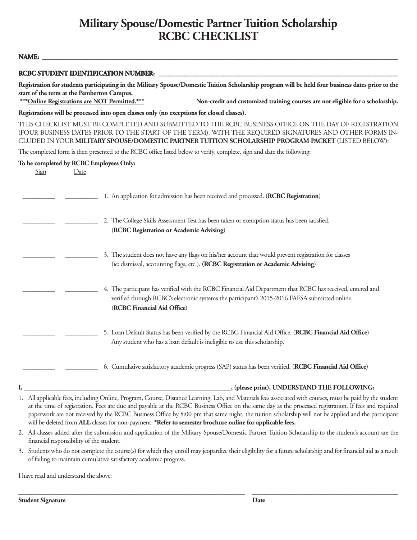# **Military Spouse/Domestic Partner Tuition Scholarship RCBC CHECKLIST**

### **NAME: \_\_\_\_\_\_\_\_\_\_\_\_\_\_\_\_\_\_\_\_\_\_\_\_\_\_\_\_\_\_\_\_\_\_\_\_\_\_\_\_\_\_\_\_\_\_\_\_\_\_\_\_\_\_\_\_\_\_\_\_\_\_\_\_\_\_\_\_\_\_\_\_\_\_\_\_\_\_\_\_\_\_\_\_\_\_\_\_\_\_\_\_\_\_\_\_\_\_\_\_\_\_\_\_\_\_\_\_\_\_**

### **RCBC STUDENT IDENTIFICATION NUMBER: \_\_\_\_\_\_\_\_\_\_\_\_\_\_\_\_\_\_\_\_\_\_\_\_\_\_\_\_\_\_\_\_\_\_\_\_\_\_\_\_\_\_\_\_\_\_\_\_\_\_\_\_\_\_\_\_\_\_\_\_\_\_\_\_\_\_\_\_\_\_\_\_\_\_**

Registration for students participating in the Military Spouse/Domestic Tuition Scholarship program will be held four business dates prior to the **start of the term at the Pemberton Campus.**

\*\*\* Online Registrations are NOT Permitted.\*\*\* Non-credit and customized training courses are not eligible for a scholarship.

**Registrations will be processed into open classes only (no exceptions for closed classes).**

THIS CHECKLIST MUST BE COMPLETED AND SUBMITTED TO THE RCBC BUSINESS OFFICE ON THE DAY OF REGISTRATION (FOUR BUSINESS DATES PRIOR TO THE START OF THE TERM), WITH THE REQUIRED SIGNATURES AND OTHER FORMS IN-CLUDED IN YOUR **MILITARY SPOUSE/DOMESTIC PARTNER TUITION SCHOLARSHIP PROGRAM PACKET** (LISTED BELOW):

The completed form is then presented to the RCBC office listed below to verify, complete, sign and date the following:

#### **To be completed by RCBC Employees Only:**

| Sign | Date |                                                                                                                                                                                                                                             |
|------|------|---------------------------------------------------------------------------------------------------------------------------------------------------------------------------------------------------------------------------------------------|
|      |      | 1. An application for admission has been received and processed. (RCBC Registration)                                                                                                                                                        |
|      |      | 2. The College Skills Assessment Test has been taken or exemption status has been satisfied.<br>(RCBC Registration or Academic Advising)                                                                                                    |
|      |      | 3. The student does not have any flags on his/her account that would prevent registration for classes<br>(ie: dismissal, accounting flags, etc.). (RCBC Registration or Academic Advising)                                                  |
|      |      | 4. The participant has verified with the RCBC Financial Aid Department that RCBC has received, entered and<br>verified through RCBC's electronic systems the participant's 2015-2016 FAFSA submitted online.<br>(RCBC Financial Aid Office) |
|      |      | 5. Loan Default Status has been verified by the RCBC Financial Aid Office. (RCBC Financial Aid Office)<br>Any student who has a loan default is ineligible to use this scholarship.                                                         |
|      |      | 6. Cumulative satisfactory academic progress (SAP) status has been verified. (RCBC Financial Aid Office)                                                                                                                                    |
|      |      | , (please print), UNDERSTAND THE FOLLOWING:                                                                                                                                                                                                 |

1. All applicablefees, including Online, Program, Course, Distance Learning, Lab, and Materials fees associated with courses, must be paid by thestudent at the time of registration. Fees are due and payable at the RCBC Business Office on the same day as the processed registration. If fees and required paperwork are not received by the RCBC Business Office by 8:00 pm that same night, the tuition scholarship will not be applied and the participant will be deleted from **ALL** classes for non-payment. **\*Refer to semester brochure online for applicable fees.**

- 2. All classes added after the submission and application of the Military Spouse/Domestic Partner Tuition Scholarship to the student's account are the financial responsibility of the student.
- 3. Students who do not completethe course(s) for which they enroll may jeopardizetheireligibility for a futurescholarship and for financial aid as a result of failing to maintain cumulative satisfactory academic progress.

\_\_\_\_\_\_\_\_\_\_\_\_\_\_\_\_\_\_\_\_\_\_\_\_\_\_\_\_\_\_\_\_\_\_\_\_\_\_\_\_\_\_\_\_\_\_\_\_\_\_\_\_\_\_\_\_\_\_\_\_\_\_\_\_\_\_\_\_\_\_ \_\_\_\_\_\_\_\_\_\_\_\_\_\_\_\_\_\_\_\_\_\_\_\_\_\_\_\_\_\_\_\_\_\_\_\_\_\_\_\_\_\_\_\_\_

I have read and understand the above: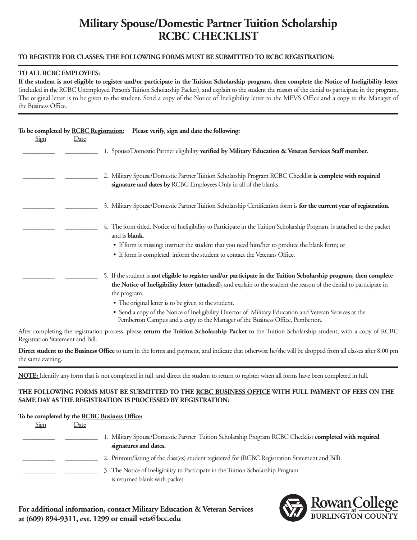# **Military Spouse/Domestic Partner Tuition Scholarship RCBC CHECKLIST**

### **TO REGISTER FOR CLASSES: THE FOLLOWING FORMS MUST BE SUBMITTED TO RCBC REGISTRATION:**

#### **TO ALL RCBC EMPLOYEES:**

If the student is not eligible to register and/or participate in the Tuition Scholarship program, then complete the Notice of Ineligibility letter (included in the RCBC Unemployed Person's Tuition Scholarship Packet), and explain to the student the reason of the denial to participate in the program. The original letter is to be given to the student. Send a copy of the Notice of Ineligibility letter to the MEVS Office and a copy to the Manager of the Business Office.

| <u>Sign</u> | To be completed by RCBC Registration:<br>Date | Please verify, sign and date the following:                                                                                                                                                                                                                                                                                                                                                                                                                                                    |
|-------------|-----------------------------------------------|------------------------------------------------------------------------------------------------------------------------------------------------------------------------------------------------------------------------------------------------------------------------------------------------------------------------------------------------------------------------------------------------------------------------------------------------------------------------------------------------|
|             |                                               | 1. Spouse/Domestic Partner eligibility verified by Military Education & Veteran Services Staff member.                                                                                                                                                                                                                                                                                                                                                                                         |
|             |                                               | 2. Military Spouse/Domestic Partner Tuition Scholarship Program RCBC Checklist is complete with required<br>signature and dates by RCBC Employees Only in all of the blanks.                                                                                                                                                                                                                                                                                                                   |
|             |                                               | 3. Military Spouse/Domestic Partner Tuition Scholarship Certification form is for the current year of registration.                                                                                                                                                                                                                                                                                                                                                                            |
|             | and is <b>blank</b> .                         | 4. The form titled, Notice of Ineligibility to Participate in the Tuition Scholarship Program, is attached to the packet<br>• If form is missing: instruct the student that you need him/her to produce the blank form; or<br>• If form is completed: inform the student to contact the Veterans Office.                                                                                                                                                                                       |
|             | the program.                                  | 5. If the student is not eligible to register and/or participate in the Tuition Scholarship program, then complete<br>the Notice of Ineligibility letter (attached), and explain to the student the reason of the denial to participate in<br>• The original letter is to be given to the student.<br>• Send a copy of the Notice of Ineligibility Director of Military Education and Veteran Services at the<br>Pemberton Campus and a copy to the Manager of the Business Office, Pemberton. |

After completing the registration process, please **return the Tuition Scholarship Packet** to the Tuition Scholarship student, with a copy of RCBC Registration Statement and Bill.

**Direct student to the Business Office** to turn in theforms and payment, and indicatethat otherwise he/she will be dropped from all classes after 8:00 pm the same evening.

**NOTE:** Identify any form that is not completed in full, and direct the student to return to register when all forms have been completed in full.

### **THE FOLLOWING FORMS MUST BE SUBMITTED TO THE RCBC BUSINESS OFFICE WITH FULL PAYMENT OF FEES ON THE SAME DAY AS THE REGISTRATION IS PROCESSED BY REGISTRATION:**

#### **To be completed by the RCBC Business Office:**

| $\frac{\text{sign}}{\text{sign}}$ | <u>Date</u> |                                                                                                                                 |
|-----------------------------------|-------------|---------------------------------------------------------------------------------------------------------------------------------|
|                                   |             | 1. Military Spouse/Domestic Partner Tuition Scholarship Program RCBC Checklist completed with required<br>signatures and dates. |
|                                   |             | 2. Printout/listing of the class(es) student registered for (RCBC Registration Statement and Bill).                             |
|                                   |             | 3. The Notice of Ineligibility to Participate in the Tuition Scholarship Program<br>is returned blank with packet.              |